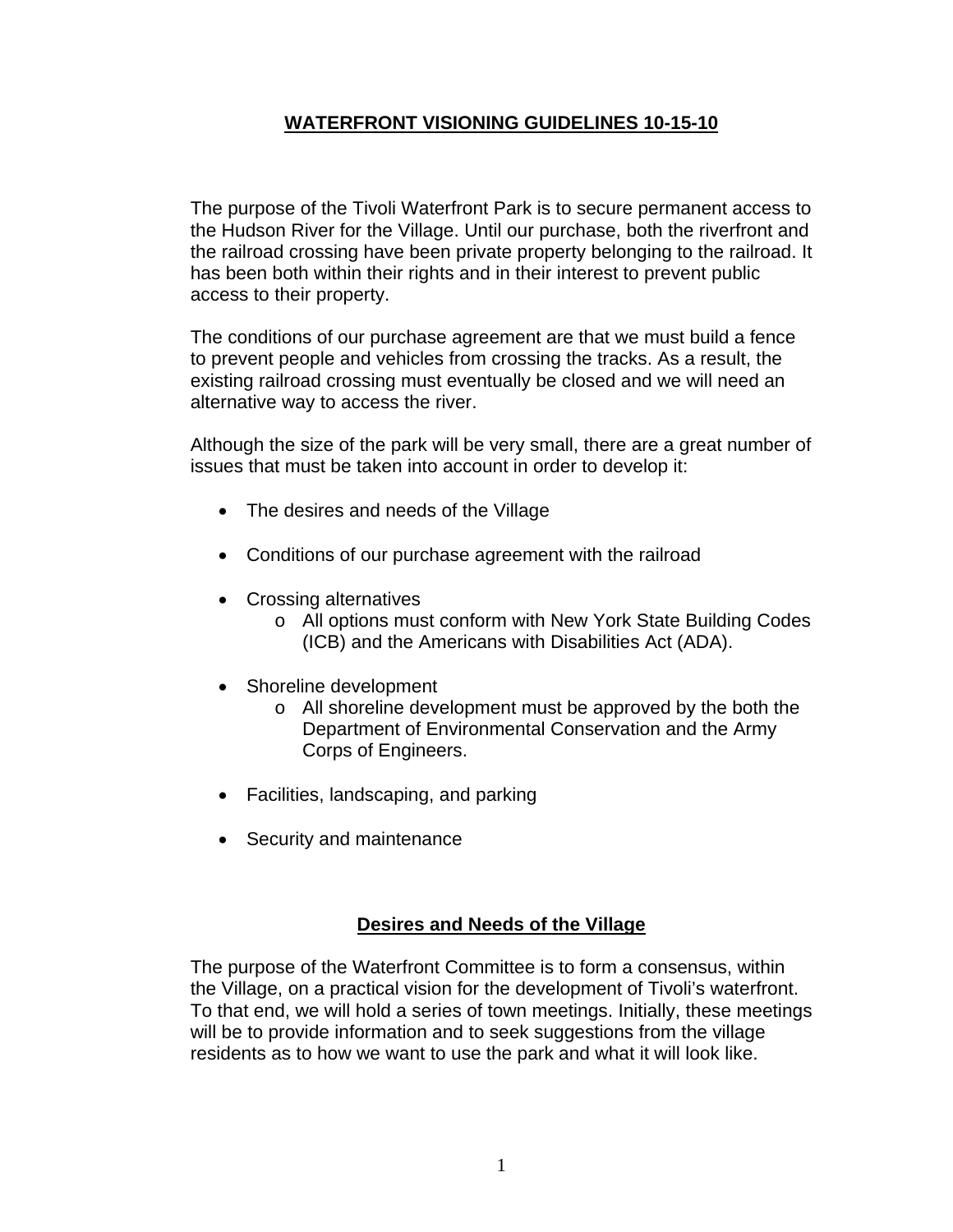# **WATERFRONT VISIONING GUIDELINES 10-15-10**

The purpose of the Tivoli Waterfront Park is to secure permanent access to the Hudson River for the Village. Until our purchase, both the riverfront and the railroad crossing have been private property belonging to the railroad. It has been both within their rights and in their interest to prevent public access to their property.

The conditions of our purchase agreement are that we must build a fence to prevent people and vehicles from crossing the tracks. As a result, the existing railroad crossing must eventually be closed and we will need an alternative way to access the river.

Although the size of the park will be very small, there are a great number of issues that must be taken into account in order to develop it:

- The desires and needs of the Village
- Conditions of our purchase agreement with the railroad
- Crossing alternatives
	- o All options must conform with New York State Building Codes (ICB) and the Americans with Disabilities Act (ADA).
- Shoreline development
	- o All shoreline development must be approved by the both the Department of Environmental Conservation and the Army Corps of Engineers.
- Facilities, landscaping, and parking
- Security and maintenance

#### **Desires and Needs of the Village**

The purpose of the Waterfront Committee is to form a consensus, within the Village, on a practical vision for the development of Tivoli's waterfront. To that end, we will hold a series of town meetings. Initially, these meetings will be to provide information and to seek suggestions from the village residents as to how we want to use the park and what it will look like.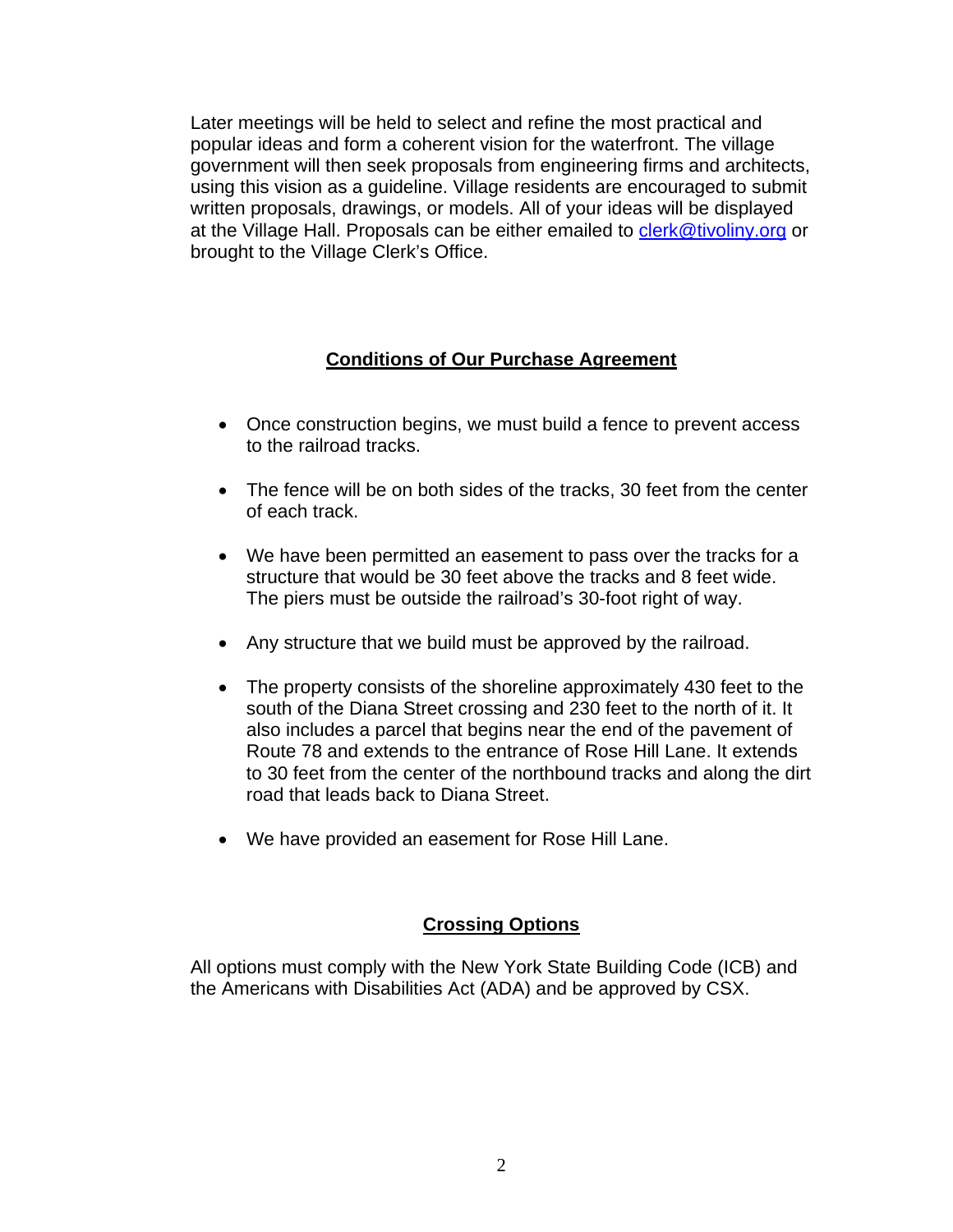Later meetings will be held to select and refine the most practical and popular ideas and form a coherent vision for the waterfront. The village government will then seek proposals from engineering firms and architects, using this vision as a guideline. Village residents are encouraged to submit written proposals, drawings, or models. All of your ideas will be displayed at the Village Hall. Proposals can be either emailed to clerk@tivoliny.org or brought to the Village Clerk's Office.

# **Conditions of Our Purchase Agreement**

- Once construction begins, we must build a fence to prevent access to the railroad tracks.
- The fence will be on both sides of the tracks, 30 feet from the center of each track.
- We have been permitted an easement to pass over the tracks for a structure that would be 30 feet above the tracks and 8 feet wide. The piers must be outside the railroad's 30-foot right of way.
- Any structure that we build must be approved by the railroad.
- The property consists of the shoreline approximately 430 feet to the south of the Diana Street crossing and 230 feet to the north of it. It also includes a parcel that begins near the end of the pavement of Route 78 and extends to the entrance of Rose Hill Lane. It extends to 30 feet from the center of the northbound tracks and along the dirt road that leads back to Diana Street.
- We have provided an easement for Rose Hill Lane.

## **Crossing Options**

All options must comply with the New York State Building Code (ICB) and the Americans with Disabilities Act (ADA) and be approved by CSX.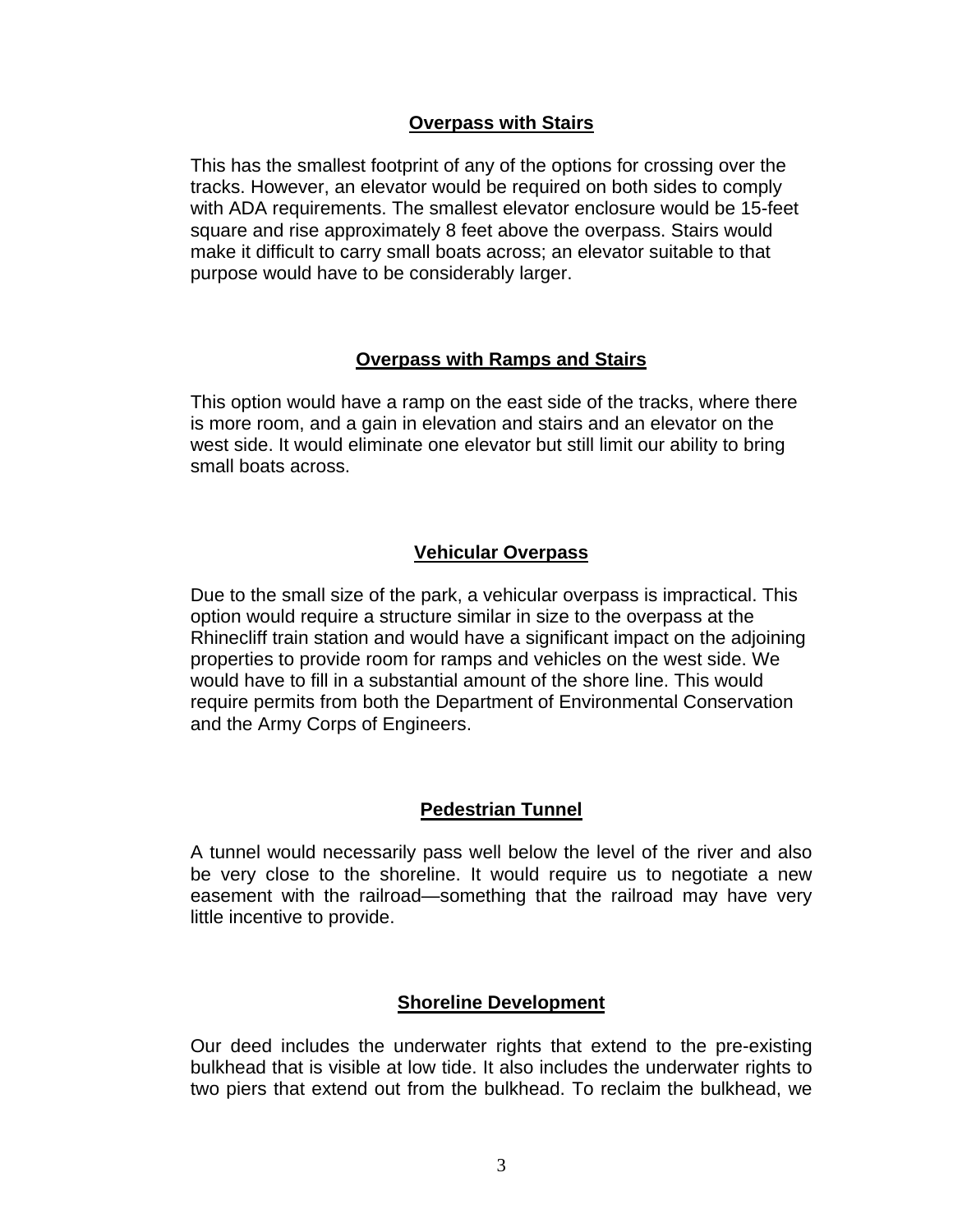### **Overpass with Stairs**

This has the smallest footprint of any of the options for crossing over the tracks. However, an elevator would be required on both sides to comply with ADA requirements. The smallest elevator enclosure would be 15-feet square and rise approximately 8 feet above the overpass. Stairs would make it difficult to carry small boats across; an elevator suitable to that purpose would have to be considerably larger.

## **Overpass with Ramps and Stairs**

This option would have a ramp on the east side of the tracks, where there is more room, and a gain in elevation and stairs and an elevator on the west side. It would eliminate one elevator but still limit our ability to bring small boats across.

#### **Vehicular Overpass**

Due to the small size of the park, a vehicular overpass is impractical. This option would require a structure similar in size to the overpass at the Rhinecliff train station and would have a significant impact on the adjoining properties to provide room for ramps and vehicles on the west side. We would have to fill in a substantial amount of the shore line. This would require permits from both the Department of Environmental Conservation and the Army Corps of Engineers.

## **Pedestrian Tunnel**

A tunnel would necessarily pass well below the level of the river and also be very close to the shoreline. It would require us to negotiate a new easement with the railroad—something that the railroad may have very little incentive to provide.

#### **Shoreline Development**

Our deed includes the underwater rights that extend to the pre-existing bulkhead that is visible at low tide. It also includes the underwater rights to two piers that extend out from the bulkhead. To reclaim the bulkhead, we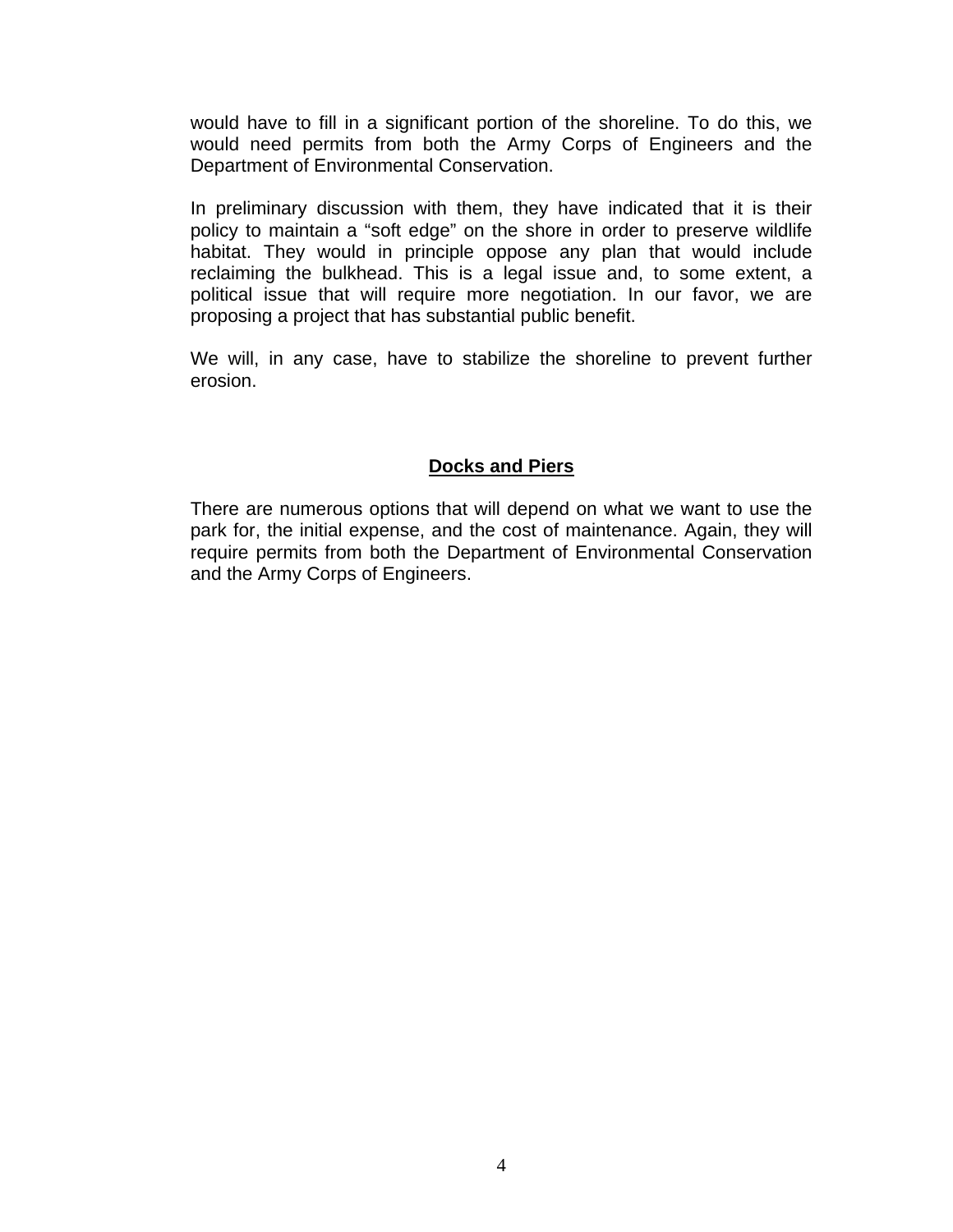would have to fill in a significant portion of the shoreline. To do this, we would need permits from both the Army Corps of Engineers and the Department of Environmental Conservation.

In preliminary discussion with them, they have indicated that it is their policy to maintain a "soft edge" on the shore in order to preserve wildlife habitat. They would in principle oppose any plan that would include reclaiming the bulkhead. This is a legal issue and, to some extent, a political issue that will require more negotiation. In our favor, we are proposing a project that has substantial public benefit.

We will, in any case, have to stabilize the shoreline to prevent further erosion.

# **Docks and Piers**

There are numerous options that will depend on what we want to use the park for, the initial expense, and the cost of maintenance. Again, they will require permits from both the Department of Environmental Conservation and the Army Corps of Engineers.